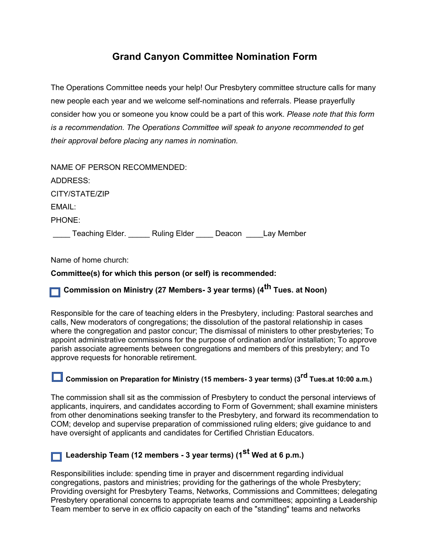# **Grand Canyon Committee Nomination Form**

The Operations Committee needs your help! Our Presbytery committee structure calls for many new people each year and we welcome self-nominations and referrals. Please prayerfully consider how you or someone you know could be a part of this work. *Please note that this form is a recommendation. The Operations Committee will speak to anyone recommended to get their approval before placing any names in nomination.*

| NAME OF PERSON RECOMMENDED:  |                   |  |
|------------------------------|-------------------|--|
| ADDRESS:                     |                   |  |
| CITY/STATE/ZIP               |                   |  |
| EMAIL:                       |                   |  |
| PHONE:                       |                   |  |
| Teaching Elder. Ruling Elder | Deacon Lay Member |  |

Name of home church:

#### **Committee(s) for which this person (or self) is recommended:**

## **Commission on Ministry (27 Members- 3 year terms) (4th Tues. at Noon)**

Responsible for the care of teaching elders in the Presbytery, including: Pastoral searches and calls, New moderators of congregations; the dissolution of the pastoral relationship in cases where the congregation and pastor concur; The dismissal of ministers to other presbyteries; To appoint administrative commissions for the purpose of ordination and/or installation; To approve parish associate agreements between congregations and members of this presbytery; and To approve requests for honorable retirement.

# **Commission on Preparation for Ministry (15 members- 3 year terms) (3rd Tues.at 10:00 a.m.)**

The commission shall sit as the commission of Presbytery to conduct the personal interviews of applicants, inquirers, and candidates according to Form of Government; shall examine ministers from other denominations seeking transfer to the Presbytery, and forward its recommendation to COM; develop and supervise preparation of commissioned ruling elders; give guidance to and have oversight of applicants and candidates for Certified Christian Educators.

### **Leadership Team (12 members - 3 year terms) (1st Wed at 6 p.m.)**

Responsibilities include: spending time in prayer and discernment regarding individual congregations, pastors and ministries; providing for the gatherings of the whole Presbytery; Providing oversight for Presbytery Teams, Networks, Commissions and Committees; delegating Presbytery operational concerns to appropriate teams and committees; appointing a Leadership Team member to serve in ex officio capacity on each of the "standing" teams and networks